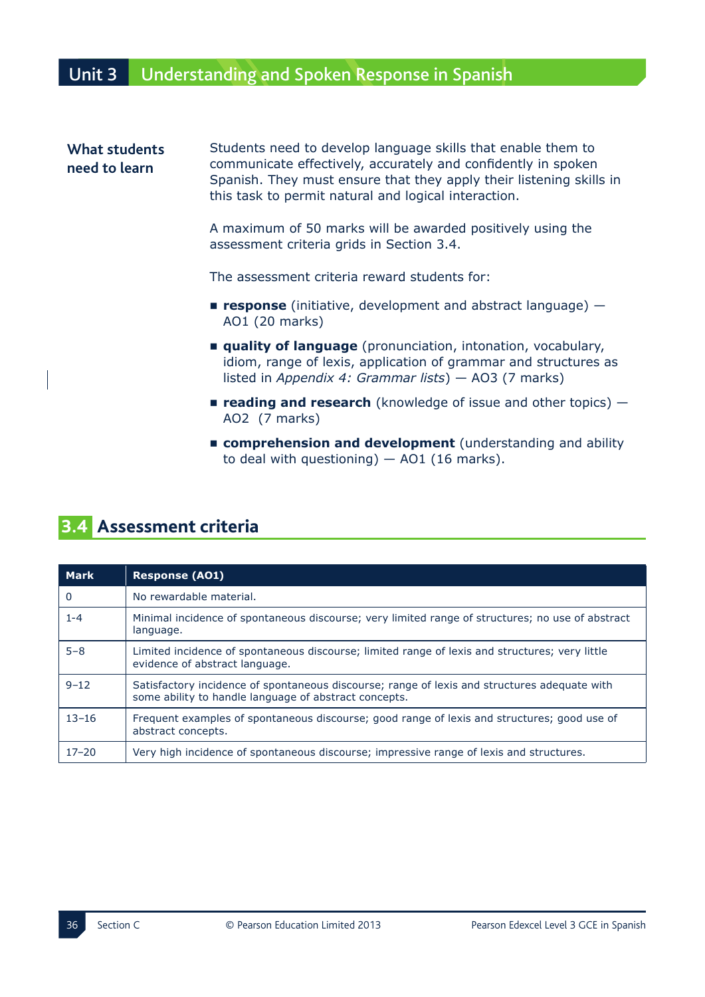## Unit 3 Understanding and Spoken Response in Spanish

## **What students need to learn** Students need to develop language skills that enable them to communicate effectively, accurately and confidently in spoken Spanish. They must ensure that they apply their listening skills in this task to permit natural and logical interaction.

A maximum of 50 marks will be awarded positively using the assessment criteria grids in Section 3.4.

The assessment criteria reward students for:

- **Figures 2008** response (initiative, development and abstract language) AO1 (20 marks)
- **T** quality of language (pronunciation, intonation, vocabulary, idiom, range of lexis, application of grammar and structures as listed in *Appendix 4: Grammar lists*) - AO3 (7 marks)
- **Figure 2018 Example 2019 LEGGAGGIA CONGINICIPY CONGINITY CONGINITY CONGINITY CONGINITY CONGINITY CONGINITY CONGINITY CONGINITY CONGINITY CONGINITY CONGINITY CONGINITY CONGINITY CONGINITY CONGINITY CONGINITY CONGINITY**  $AO2$  (7 marks)
- **F** comprehension and development (understanding and ability to deal with questioning)  $-$  AO1 (16 marks).

## **3.4 Assessment criteria**

| <b>Mark</b> | <b>Response (AO1)</b>                                                                                                                                 |
|-------------|-------------------------------------------------------------------------------------------------------------------------------------------------------|
| 0           | No rewardable material.                                                                                                                               |
| $1 - 4$     | Minimal incidence of spontaneous discourse; very limited range of structures; no use of abstract<br>language.                                         |
| $5 - 8$     | Limited incidence of spontaneous discourse; limited range of lexis and structures; very little<br>evidence of abstract language.                      |
| $9 - 12$    | Satisfactory incidence of spontaneous discourse; range of lexis and structures adequate with<br>some ability to handle language of abstract concepts. |
| $13 - 16$   | Frequent examples of spontaneous discourse; good range of lexis and structures; good use of<br>abstract concepts.                                     |
| $17 - 20$   | Very high incidence of spontaneous discourse; impressive range of lexis and structures.                                                               |